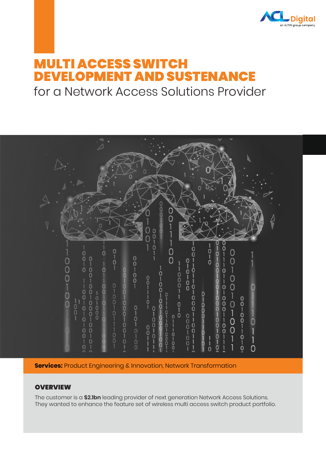

# MULTI ACCESS SWITCH DEVELOPMENT AND SUSTENANCE

for a Network Access Solutions Provider



**Services:** Product Engineering & Innovation, Network Transformation

## **OVERVIEW**

The customer is a **\$2.1bn** leading provider of next generation Network Access Solutions. They wanted to enhance the feature set of wireless multi access switch product portfolio.